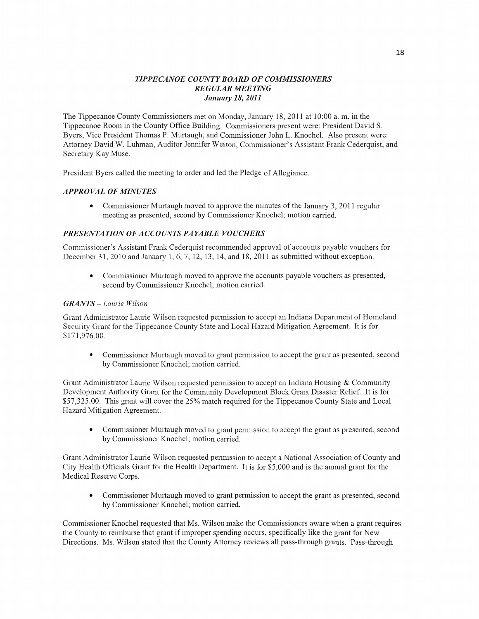## *TIPPE CANOE COUNTY BOARD* OF *C OMMSSIONERS REGULAR MEETING January* 18, *2011*

The Tippecanoe County Commissioners met on Monday, January 18, 2011 at 10:00 a. m. in the Tippecanoe Room in the County Office Building. Commissioners present were: President David S. Byers, Vice President Thomas P. Murtaugh, and Commissioner John L. Knochel. Also present were: Attorney David W. Luhman, Auditor Jennifer Weston, Commissioner's Assistant Frank Cederquist, and Secretary Kay Muse.

President Byers called the meeting to order and led the Pledge of Allegiance.

## *APPROVAL* OF *MINUTES*

**0** Commissioner Murtaugh moved to approve the minutes of the January 3, 2011 regular meeting as presented, **second** by Commissioner Knochel; motion carried.

### **PRESENTATION OF ACCOUNTS PAYABLE VOUCHERS**

Commissioner's Assistant Frank Cederquist recommended approval of accounts payable vouchers for December 31, 2010 and January 1, 6, 7, 12, 13, 14, and 18, 2011 as submitted without exception.

**0** Commissioner Murtaugh moved to approve the accounts payable vouchers as presented, second by Commissioner Knochel; motion carried.

### *GRANTS* — *Laurie Wilson*

Grant Administrator Laurie Wilson requested pennission to accept an Indiana Department of Homeland Security Grant for the Tippecanoe County State and Local Hazard Mitigation Agreement. It is for \$171,976.00.

**0** Commissioner Murtaugh moved to grant permission to accept the grant as presented, second by Commissioner Knochel; motion carried.

Grant Administrator Laurie Wilson requested permission to accept an Indiana Housing & Community Development Authority Grant for the Community Development Block Grant Disaster Relief. It is for \$57,325.00. **This** grant will cover the 25% match required for the Tippecanoe County State and Local Hazard Mitigation Agreement.

**0** Commissioner Murtaugh moved to grant permission to accept the grant as presented, second by Commissioner Knochel; **motion** carried.

Grant Administrator Laurie Wilson requested permission to accept **a** National Association of County and City Health Officials Grant for the Health Department. It is for \$5,000 and is the annual grant for the Medical Reserve Corps.

• Commissioner Murtaugh moved to grant permission to accept the grant as presented, second by Commissioner Knochel; motion carried.

Commissioner Knochel requested that Ms. Wilson make the Commissioners aware when a grant requires the County to reimburse that grant if improper spending occurs, specifically like the grant for New Directions. Ms. Wilson stated that the County Attorney reviews all pass-through grants. Pass-through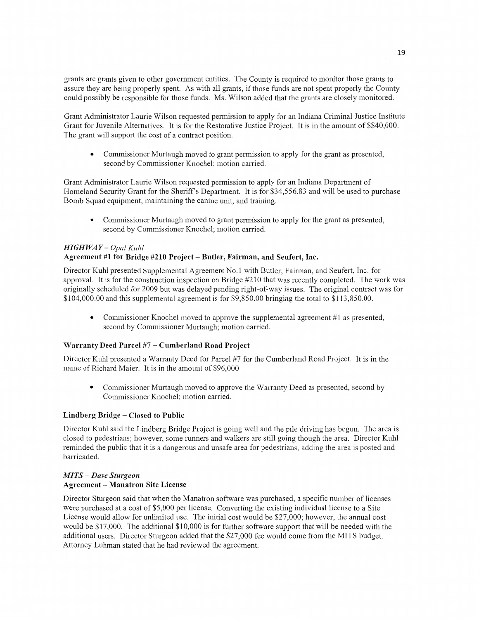grants are grants given to other government entities. The County is required to monitor those grants to assure they are being properly spent. As with all grants, if those **funds** are not spent properly the County could possibly be responsible for those fimds. Ms. Wilson added that the grants are closely monitored.

Grant Administrator Laurie Wilson requested permission to apply for an Indiana Criminal Justice Institute Grant for Juvenile Alternatives. It is for the Restorative Justice Project. It is in the amount of \$\$40,000. The grant will support the cost of a contract position.

**0** Commissioner Murtaugh moved to grant permission to apply for the grant as presented, second by Commissioner Knochel; motion carried.

Grant Administrator Laurie Wilson requested permission to apply for an Indiana Department of Homeland Security Grant for the Sheriff's Department. It is for \$34,556.83 and will be used to purchase Bomb Squad equipment, maintaining the **canine** unit, and training.

**0** Commissioner Murtaugh moved to grant **pennission** to apply for the **grant** as presented, second by Commissioner Knochel; motion carried.

# *HIGH* WA *Y — Opal Kuhl*

## Agreement #1 for **Bridge #210 Project** — Butler, **Fairman,** and Seufert, **Inc.**

Director Kuhl presented Supplemental Agreement No.1 with Butler, Fairman, and Seufert, Inc. for approval. It is for the construction inspection on Bridge #210 that was recently completed. The work was originally scheduled for 2009 but was delayed pending right-of—way issues. The original contract was for \$104,000.00 and this supplemental agreement is for \$9,850.00 bringing the total to \$113,850.00.

• Commissioner Knochel moved to approve the supplemental agreement #1 as presented, second by Commissioner Murtaugh; motion carried.

## **Warranty Deed Parcel** #7 **— Cumberland Road Project**

Director Kuhl presented *a* Warranty Deed for Parcel #7 for the Cumberland Road Project. It is in the name of Richard Maier. It is in the amount of \$96,000

**0** Commissioner Murtaugh moved to approve the Warranty Deed as presented, second by Commissioner Knochel; **motion** carried.

## Lindberg Bridge *—* **Closed** to Public

Director Kuhl said the Lindberg Bridge Project is going well and the pile driving has begun. The area is closed to pedestrians; however, some runners and walkers are still going though the area. Director Kuhl reminded the public that it is a dangerous and unsafe area for pedestrians, adding the area is posted and barricaded.

## MI *T S — Dave Sturgeon*  Agreement **— Manatron Site** License

Director Sturgeon said that when the Manatron software was purchased, a specific number of licenses were purchased at a cost of \$5,000 per license. Converting the existing individual license to a Site License would allow for unlimited **use.** The initial cost would be \$27,000; however, the annual cost would be \$17,000. The additional \$10,000 is for further sofiware support that will be needed with the additional users. Director Sturgeon added **that** the \$27,000 fee would come from the MITS budget. Attorney Luhman stated that he had reviewed the agreement.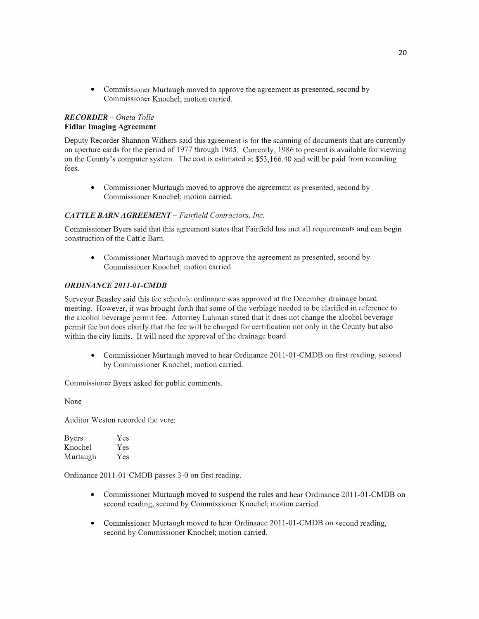**0** Commissioner Murtaugh moved to approve the agreement as presented, second by Commissioner Knochel; motion carried.

## *RECORDER* — *Oneta Tolle*  **Fidlar** Imaging Agreement

Deputy Recorder Shannon Withers said this agreement is for the scanning of documents that are currently on aperture cards for the period of **1977** through 1985. Cun'ently, 1986 to present is available for viewing on the County's computer system. The cost is estimated at \$53,166.40 and will be paid from recording fees.

**0** Commissioner Murtaugh moved to approve the agreement as presented, second by Commissioner Knochel; motion carried.

## CA *TTLE BARN AGREEMENT* **—** *Failj'ield Contractors, Inc.*

Commissioner Byers said that this agreement states that Fairfield has met all requirements and can begin construction of the Cattle Barn.

• Commissioner Murtaugh moved to approve the agreement as presented, second by Commissioner Knochel; motion carried.

## *ORDINANCE 2011-01-CMDB*

Surveyor Beasley said this fee schedule ordinance was approved at the December drainage board meeting. However, it was brought forth that some of the verbiage needed to be clarified in reference to the alcohol beverage permit fee. Attorney Luhman stated that it does not change the alcohol beverage permit fee but does clarify that the fee will be charged for certification not only in the County but also within the city limits. It will need the approval of the drainage board.

• Commissioner Murtaugh moved to hear Ordinance 2011-01-CMDB on first reading, second by Commissioner Knochel; motion carried.

Commissioner Byers asked for public comments.

None

Auditor Weston recorded the vote:

| <b>Byers</b> | Yes |
|--------------|-----|
| Knochel      | Yes |
| Murtaugh     | Yes |

Ordinance 2011-01-CMDB passes 3-0 on first reading.

- **0** Commissioner Murtaugh moved to suspend the rules and hear Ordinance 2011-01—CMDB on second reading, second by Commissioner Knochel; motion carried.
- **0** Commissioner Murtaugh moved to hear Ordinance 2011-Ol-CMDB on second reading, second by Commissioner Knochel; motion carried.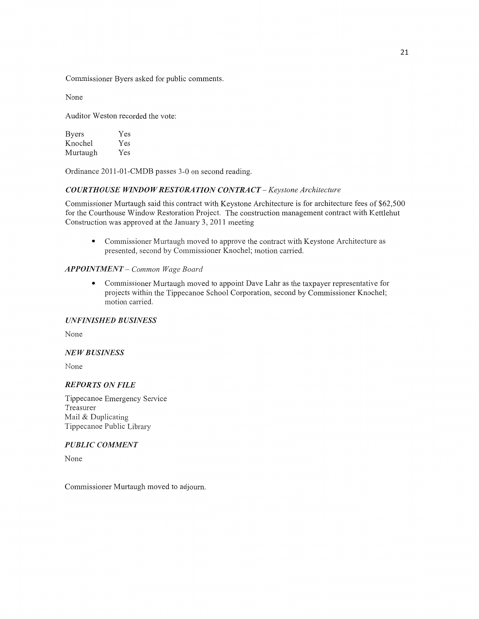Commissioner Byers asked for public comments.

None

Auditor Weston recorded the vote:

| <b>Byers</b> | Yes |
|--------------|-----|
| Knochel      | Yes |
| Murtaugh     | Yes |

Ordinance 201 1-01-CMDB passes 3—0 on second reading.

## *COURTHOUSE WINDOW RESTORATION CONTRACT – Keystone Architecture*

Commissioner Murtaugh said this contract with Keystone Architecture is for architecture fees of \$62,500 for the Courthouse Window Restoration Project. The construction management contract with Kettlehut Construction was approved at the January 3, 2011 meeting

**<sup>0</sup>**Commissioner Murtaugh moved to approve the contract with Keystone Architecture as presented, second by Commissioner Knochel; motion carried.

### *APPOINTMENT— Common Wage Board*

**0** Commissioner Murtaugh moved to appoint Dave Lahr as the taxpayer representative for projects within the Tippecanoe School Corporation, second by Commissioner Knochel; motion carried.

### *UNFINISHED BUSINESS*

None

### NE WB *USINESS*

None

### *REPORTS* ON *FILE*

Tippecanoe Emergency Service Treasurer Mail & Duplicating Tippecanoe Public Library

## *PUBLIC COMMENT*

None

Commissioner Murtaugh moved to adjourn.